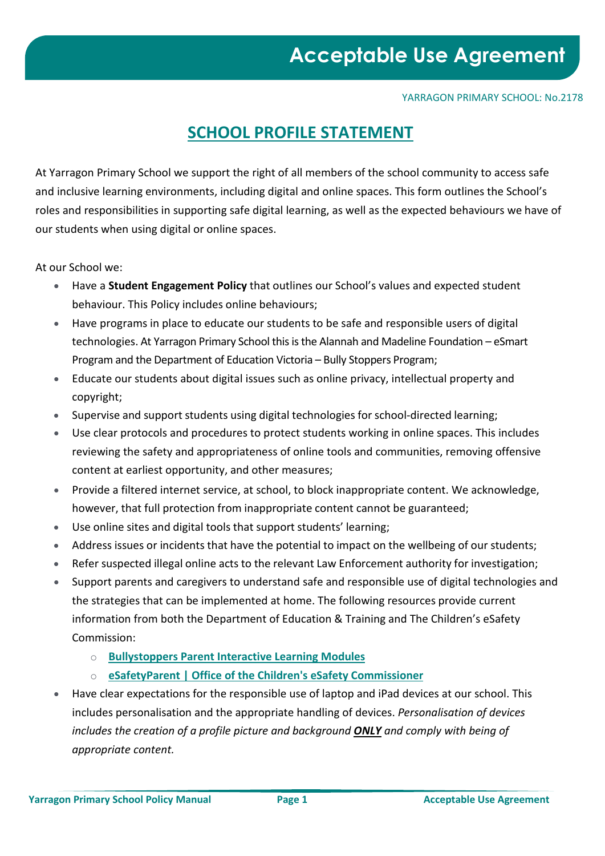#### YARRAGON PRIMARY SCHOOL: No.2178

### **SCHOOL PROFILE STATEMENT**

At Yarragon Primary School we support the right of all members of the school community to access safe and inclusive learning environments, including digital and online spaces. This form outlines the School's roles and responsibilities in supporting safe digital learning, as well as the expected behaviours we have of our students when using digital or online spaces.

At our School we:

- Have a **Student Engagement Policy** that outlines our School's values and expected student behaviour. This Policy includes online behaviours;
- Have programs in place to educate our students to be safe and responsible users of digital technologies. At Yarragon Primary School this is the Alannah and Madeline Foundation – eSmart Program and the Department of Education Victoria – Bully Stoppers Program;
- Educate our students about digital issues such as online privacy, intellectual property and copyright;
- Supervise and support students using digital technologies for school-directed learning;
- Use clear protocols and procedures to protect students working in online spaces. This includes reviewing the safety and appropriateness of online tools and communities, removing offensive content at earliest opportunity, and other measures;
- Provide a filtered internet service, at school, to block inappropriate content. We acknowledge, however, that full protection from inappropriate content cannot be guaranteed;
- Use online sites and digital tools that support students' learning;
- Address issues or incidents that have the potential to impact on the wellbeing of our students;
- Refer suspected illegal online acts to the relevant Law Enforcement authority for investigation;
- Support parents and caregivers to understand safe and responsible use of digital technologies and the strategies that can be implemented at home. The following resources provide current information from both the Department of Education & Training and The Children's eSafety Commission:
	- o **Bullystoppers Parent Interactive Learning Modules**
	- o **[eSafetyParent | Office of the Children's eSafety Commissioner](https://www.esafety.gov.au/education-resources/iparent))**
- Have clear expectations for the responsible use of laptop and iPad devices at our school. This includes personalisation and the appropriate handling of devices. *Personalisation of devices includes the creation of a profile picture and background ONLY and comply with being of appropriate content.*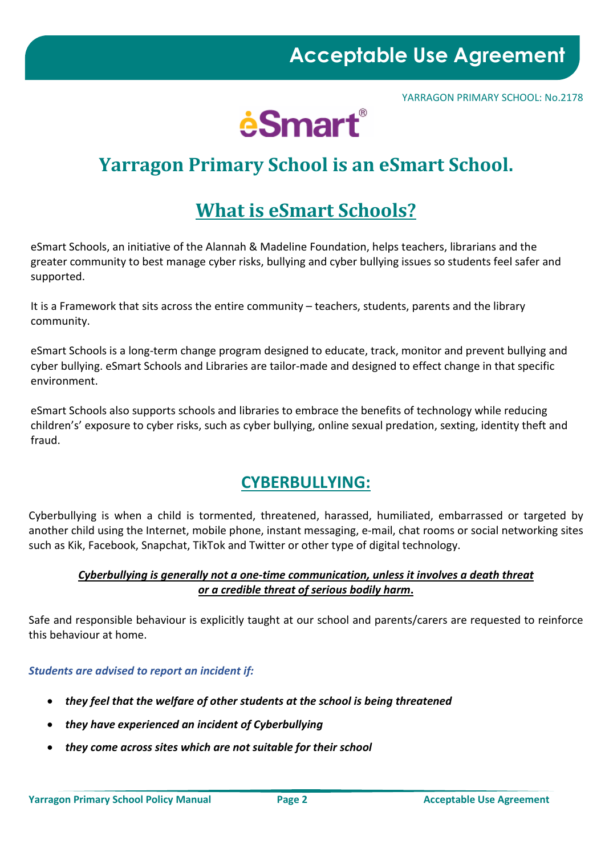YARRAGON PRIMARY SCHOOL: No.2178



### **Yarragon Primary School is an eSmart School.**

### **What is eSmart Schools?**

eSmart Schools, an initiative of the Alannah & Madeline Foundation, helps teachers, librarians and the greater community to best manage cyber risks, bullying and cyber bullying issues so students feel safer and supported.

It is a Framework that sits across the entire community – teachers, students, parents and the library community.

eSmart Schools is a long-term change program designed to educate, track, monitor and prevent bullying and cyber bullying. eSmart Schools and Libraries are tailor-made and designed to effect change in that specific environment.

eSmart Schools also supports schools and libraries to embrace the benefits of technology while reducing children's' exposure to cyber risks, such as cyber bullying, online sexual predation, sexting, identity theft and fraud.

### **CYBERBULLYING:**

Cyberbullying is when a child is tormented, threatened, harassed, humiliated, embarrassed or targeted by another child using the Internet, mobile phone, instant messaging, e-mail, chat rooms or social networking sites such as Kik, Facebook, Snapchat, TikTok and Twitter or other type of digital technology.

#### *Cyberbullying is generally not a one-time communication, unless it involves a death threat or a credible threat of serious bodily harm***.**

Safe and responsible behaviour is explicitly taught at our school and parents/carers are requested to reinforce this behaviour at home.

#### *Students are advised to report an incident if:*

- *they feel that the welfare of other students at the school is being threatened*
- *they have experienced an incident of Cyberbullying*
- *they come across sites which are not suitable for their school*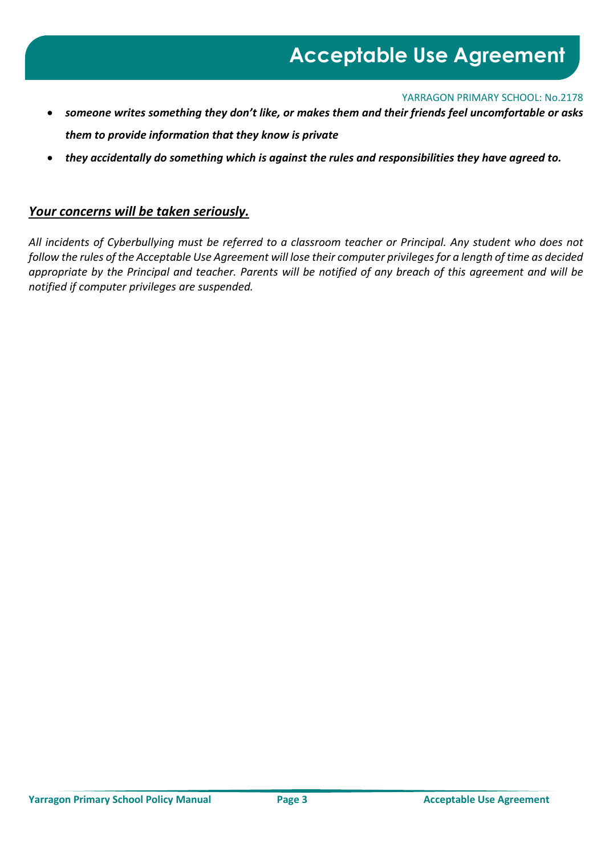YARRAGON PRIMARY SCHOOL: No.2178

- *someone writes something they don't like, or makes them and their friends feel uncomfortable or asks them to provide information that they know is private*
- *they accidentally do something which is against the rules and responsibilities they have agreed to.*

#### *Your concerns will be taken seriously.*

*All incidents of Cyberbullying must be referred to a classroom teacher or Principal. Any student who does not follow the rules of the Acceptable Use Agreement will lose their computer privileges for a length of time as decided appropriate by the Principal and teacher. Parents will be notified of any breach of this agreement and will be notified if computer privileges are suspended.*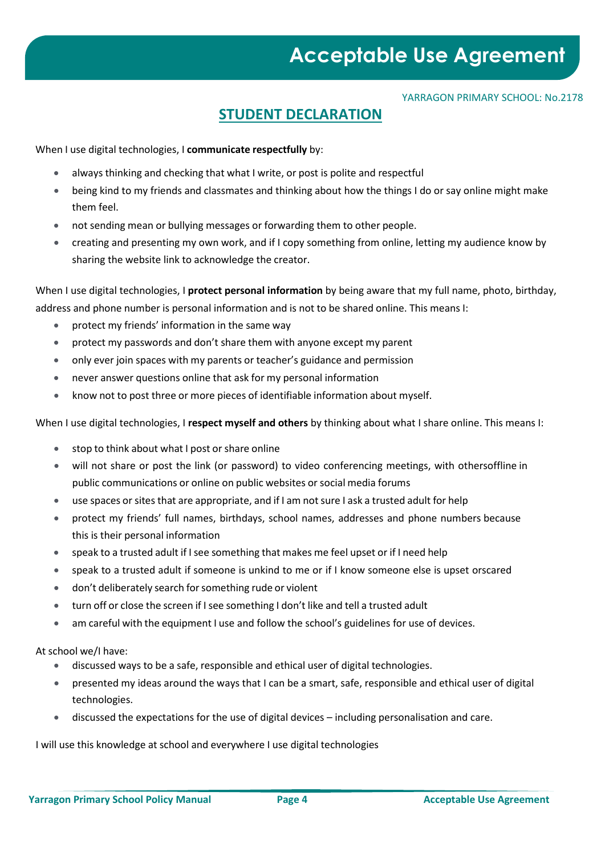#### YARRAGON PRIMARY SCHOOL: No.2178

### **STUDENT DECLARATION**

When I use digital technologies, I **communicate respectfully** by:

- always thinking and checking that what I write, or post is polite and respectful
- being kind to my friends and classmates and thinking about how the things I do or say online might make them feel.
- not sending mean or bullying messages or forwarding them to other people.
- creating and presenting my own work, and if I copy something from online, letting my audience know by sharing the website link to acknowledge the creator.

When I use digital technologies, I **protect personal information** by being aware that my full name, photo, birthday, address and phone number is personal information and is not to be shared online. This means I:

- protect my friends' information in the same way
- protect my passwords and don't share them with anyone except my parent
- only ever join spaces with my parents or teacher's guidance and permission
- never answer questions online that ask for my personal information
- know not to post three or more pieces of identifiable information about myself.

When I use digital technologies, I **respect myself and others** by thinking about what I share online. This means I:

- stop to think about what I post or share online
- will not share or post the link (or password) to video conferencing meetings, with othersoffline in public communications or online on public websites or social media forums
- use spaces or sites that are appropriate, and if I am not sure I ask a trusted adult for help
- protect my friends' full names, birthdays, school names, addresses and phone numbers because this is their personal information
- speak to a trusted adult if Isee something that makes me feel upset or if I need help
- speak to a trusted adult if someone is unkind to me or if I know someone else is upset orscared
- don't deliberately search forsomething rude or violent
- turn off or close the screen if I see something I don't like and tell a trusted adult
- am careful with the equipment I use and follow the school's guidelines for use of devices.

At school we/I have:

- discussed ways to be a safe, responsible and ethical user of digital technologies.
- presented my ideas around the ways that I can be a smart, safe, responsible and ethical user of digital technologies.
- discussed the expectations for the use of digital devices including personalisation and care.

I will use this knowledge at school and everywhere I use digital technologies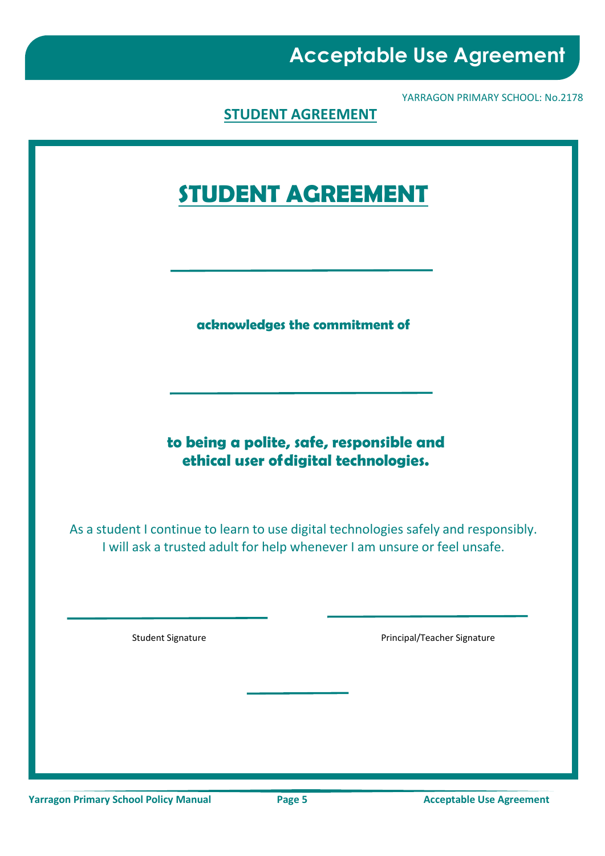YARRAGON PRIMARY SCHOOL: No.2178

**STUDENT AGREEMENT**

# **STUDENT AGREEMENT**

**acknowledges the commitment of**

**to being a polite, safe, responsible and ethical user ofdigital technologies.**

As a student I continue to learn to use digital technologies safely and responsibly. I will ask a trusted adult for help whenever I am unsure or feel unsafe.

Student Signature **Principal/Teacher Signature** Principal/Teacher Signature